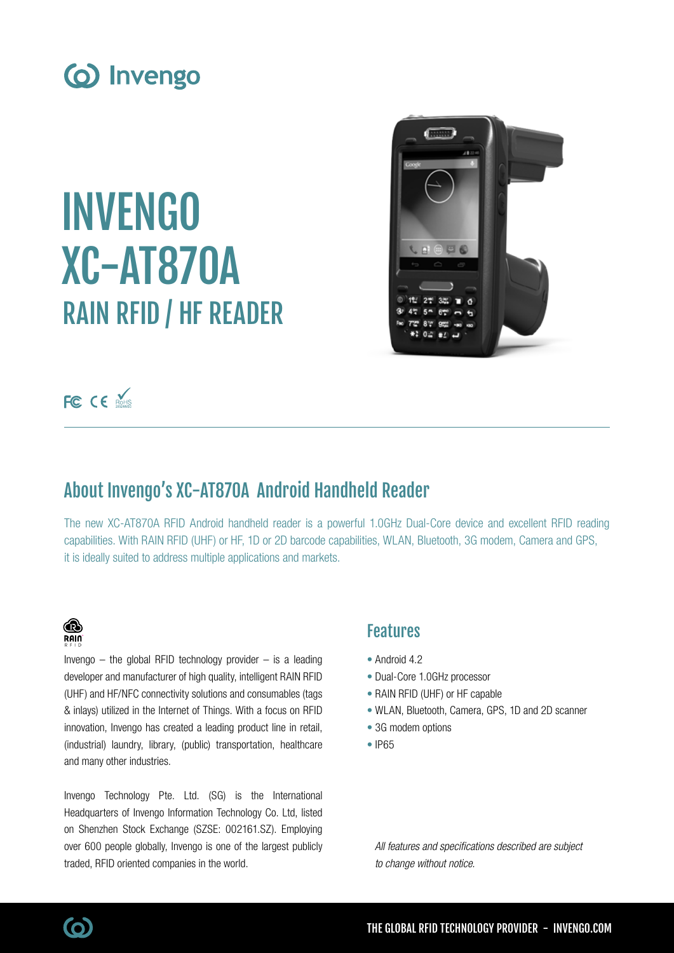

# INVENGO XC-AT870A RAIN RFID / HF READER



# FC CE ROHS

## About Invengo's XC-AT870A Android Handheld Reader

The new XC-AT870A RFID Android handheld reader is a powerful 1.0GHz Dual-Core device and excellent RFID reading capabilities. With RAIN RFID (UHF) or HF, 1D or 2D barcode capabilities, WLAN, Bluetooth, 3G modem, Camera and GPS, it is ideally suited to address multiple applications and markets.

### **B RAIN**

Invengo  $-$  the global RFID technology provider  $-$  is a leading developer and manufacturer of high quality, intelligent RAIN RFID (UHF) and HF/NFC connectivity solutions and consumables (tags & inlays) utilized in the Internet of Things. With a focus on RFID innovation, Invengo has created a leading product line in retail, (industrial) laundry, library, (public) transportation, healthcare and many other industries.

Invengo Technology Pte. Ltd. (SG) is the International Headquarters of Invengo Information Technology Co. Ltd, listed on Shenzhen Stock Exchange (SZSE: 002161.SZ). Employing over 600 people globally, Invengo is one of the largest publicly traded, RFID oriented companies in the world.

## Features

- Android 4.2
- Dual-Core 1.0GHz processor
- RAIN RFID (UHF) or HF capable
- WLAN, Bluetooth, Camera, GPS, 1D and 2D scanner
- 3G modem options
- IP65

All features and specifications described are subject to change without notice.